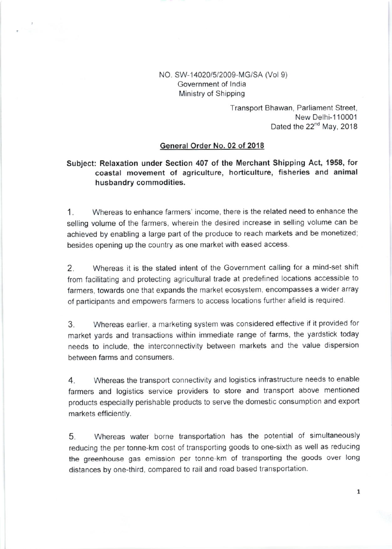### NO. SW-14020/5/2009-MG/SA (Vol 9) Government of lndia Ministry of Shipping

Transport Bhawan, Parliament Street, New Delhi-110001 Dated the 22<sup>nd</sup> May, 2018

#### General Order No.02 of 2018

## Subject: Relaxation under Section 407 of the Merchant Shipping Act, 1958, for coastal movement of agriculture, horticulture, fisheries and animal husbandry commodities.

1. Whereas to enhance farmers' income, there is the related need to enhance the selling volume of the farmers, wherein the desired increase in selling volume can be achieved by enabling a large part of the produce to reach markets and be monetized; besides opening up the country as one market with eased access.

2. Whereas it is the stated intent of the Government calling for a mind-set shift from facilitating and protecting agricultural trade at predefined locaiions accessible to farmers, towards one that expands the market ecosystem, encompasses a wider array of participants and empowers farmers to access locations further afield is required

3. Whereas earlier, a marketing system was considered effective if it provided for market yards and transactions within immediate range of farms, the yardstick today needs to include, the interconnectivity between markets and the value dispersion between farms and consumers.

4. Whereas the transport connectivity and logistics infrastructure needs to enable farmers and logistics service providers to store and transport above mentioned products especially perishable products to serve the domestic consumption and export markets efficiently.

5. Whereas water borne transportation has the potential of simultaneously reducing the per tonne-km cost of transporting goods to one-sixth as well as reducing the greenhouse gas emission per tonne-km of transporting lhe goods over long distances by one-third, compared to rail and road based transportation.

 $\mathbf{1}$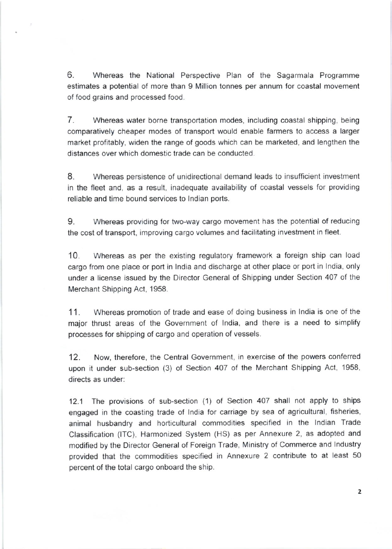6. Whereas the National Perspective Plan of the Sagarmala Programme estimates a potential of more than 9 Million tonnes per annum for coastal movement of food grains and processed food.

7. Whereas water borne transportation modes, including coastal shipping, being comparatively cheaper modes of transport would enable farmers to access a larger market profitably, widen the range of goods which can be marketed, and lengthen the distances over which domestic trade can be conducted.

8. Whereas persastence of unidirectional demand leads to insuflicient investment in the fleet and, as a result, inadequate availability of coastal vessels for providing reliable and time bound services to lndian ports.

9. whereas providing for two-way cargo movement has the potential of reducing the cost of transport, improving cargo volumes and facilitating investment in fleet.

10. Whereas as per the existing regulatory framework a foreign ship can load cargo from one place or port in India and discharge at other place or port in India, only under a license issued by the Director General of Shipping under Section 407 of the Merchant Shipping Act, 1958.

11. Whereas promotion of trade and ease of doing business in lndia is one of the major thrust areas of the Government of lndia, and there is a need to simplify processes for shipping of cargo and operation of vessels.

12. Now, therefore, the Central Government, in exercise of the powers conferred upon it under sub-section (3) of Section 407 of the Merchant Shipping Act, 1958, directs as under:

12.1 The provisions of sub-section (1) of Section 407 shall not apply to ships engaged in the coasting trade of India for carriage by sea of agricultural, fisheries, animal husbandry and horticultural commodities specified in the lndian Trade Classification (lTC), Harmonized System (HS) as per Annexure 2, as adopted and modified by the Director General of Foreign Trade, Ministry of Commerce and Industry provided that the commodities specified in Annexure 2 contribute to at least <sup>50</sup> percent of the total cargo onboard the ship.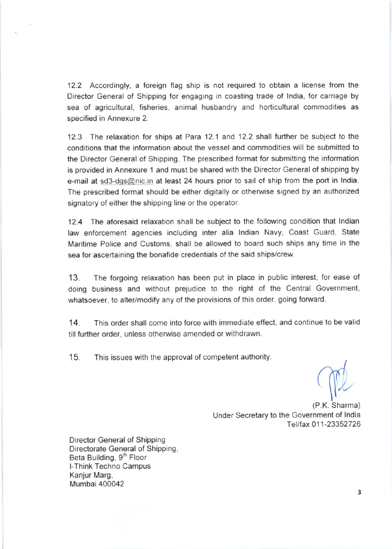12.2 Accordingly, a foreign flag ship is not required to obtain a license from the Director General of Shipping for engaging in coasting trade of lndia, for carriage by sea of agricultural, fisheries, animal husbandry and horticultural commodities as specified in Annexure 2.

12.3 The relaxation for ships at Para 12.1 and 12.2 shall further be subject to the conditions that the information about the vessel and commodities will be submitted to the Director General of Shipping. The prescribed format for submitting the information is provided in Annexure 1 and must be shared with the Director General of shipping by e-mail at sd3-dqs@nic.in at least 24 hours prior to sail of ship from the port in India. The prescribed format should be either digitally or otherwise signed by an authorized signatory of either the shipping line or the operator.

12.4 The aforesaid relaxation shall be subject to the following condition that Indian law enforcement agencies including inter alia lndian Navy, Coast Guard, State Maritime Police and Customs, shall be allowed to board such ships any time in the sea for ascertaining the bonafide credentials of the said ships/crew.

'13. The forgoing relaxation has been put in place in public interest, for ease of doing business and without prejudice to the right of the Central Government, whatsoever, to alter/modify any of the provisions of this order, going forward.

14. This order shall come into force with immediate effect, and continue to be valid till further order, unless otherwise amended or withdrawn.

15. This issues with the approval of competent authority.

I'

Under Secretary to the Government of India Tel/fax 011-23352726 (P.K. Sharma)

Oirector General of Shipping Directorate General of Shipping, Beta Building, 9<sup>th</sup> Floor l-Think Techno Campus Kanjur Marg, Mumbai 400042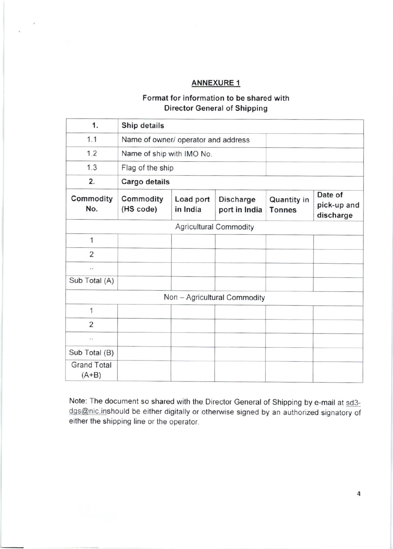### ANNEXURE <sup>1</sup>

## Format for information to be shared with Director General of Shipping

| 1.                            | Ship details                        |                       |                                   |                              |                                     |
|-------------------------------|-------------------------------------|-----------------------|-----------------------------------|------------------------------|-------------------------------------|
| 1.1                           | Name of owner/ operator and address |                       |                                   |                              |                                     |
| 1.2                           | Name of ship with IMO No.           |                       |                                   |                              |                                     |
| 1.3                           | Flag of the ship                    |                       |                                   |                              |                                     |
| 2.                            | Cargo details                       |                       |                                   |                              |                                     |
| Commodity<br>No.              | Commodity<br>(HS code)              | Load port<br>in India | <b>Discharge</b><br>port in India | Quantity in<br><b>Tonnes</b> | Date of<br>pick-up and<br>discharge |
| <b>Agricultural Commodity</b> |                                     |                       |                                   |                              |                                     |
| $\mathbf{1}$                  |                                     |                       |                                   |                              |                                     |
| 2                             |                                     |                       |                                   |                              |                                     |
| $\ddot{\phantom{0}}$          |                                     |                       |                                   |                              |                                     |
| Sub Total (A)                 |                                     |                       |                                   |                              |                                     |
|                               |                                     |                       | Non - Agricultural Commodity      |                              |                                     |
| $\mathbf{1}$                  |                                     |                       |                                   |                              |                                     |
| 2                             |                                     |                       |                                   |                              |                                     |
| $\ddot{\phantom{a}}$          |                                     |                       |                                   |                              |                                     |
| Sub Total (B)                 |                                     |                       |                                   |                              |                                     |
| <b>Grand Total</b><br>$(A+B)$ |                                     |                       |                                   |                              |                                     |

Note: The document so shared with the Director General of Shipping by e-mail at sd3 dgs@nic.inshould be either digitally or otherwise signed by an authorized signatory of either the shipping line or the operator.

 $\pmb{4}$